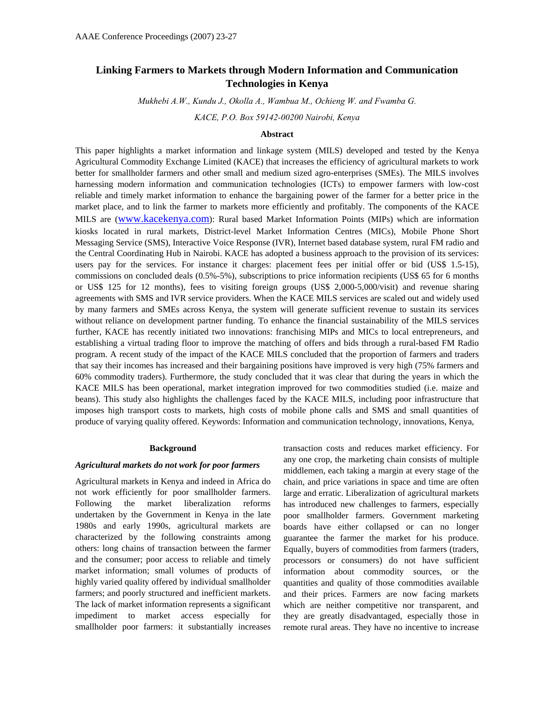# **Linking Farmers to Markets through Modern Information and Communication Technologies in Kenya**

*Mukhebi A.W., Kundu J., Okolla A., Wambua M., Ochieng W. and Fwamba G.* 

*KACE, P.O. Box 59142-00200 Nairobi, Kenya* 

#### **Abstract**

This paper highlights a market information and linkage system (MILS) developed and tested by the Kenya Agricultural Commodity Exchange Limited (KACE) that increases the efficiency of agricultural markets to work better for smallholder farmers and other small and medium sized agro-enterprises (SMEs). The MILS involves harnessing modern information and communication technologies (ICTs) to empower farmers with low-cost reliable and timely market information to enhance the bargaining power of the farmer for a better price in the market place, and to link the farmer to markets more efficiently and profitably. The components of the KACE MILS are [\(www.kacekenya.com\)](http://www.kacekenya.com/): Rural based Market Information Points (MIPs) which are information kiosks located in rural markets, District-level Market Information Centres (MICs), Mobile Phone Short Messaging Service (SMS), Interactive Voice Response (IVR), Internet based database system, rural FM radio and the Central Coordinating Hub in Nairobi. KACE has adopted a business approach to the provision of its services: users pay for the services. For instance it charges: placement fees per initial offer or bid (US\$ 1.5-15), commissions on concluded deals (0.5%-5%), subscriptions to price information recipients (US\$ 65 for 6 months or US\$ 125 for 12 months), fees to visiting foreign groups (US\$ 2,000-5,000/visit) and revenue sharing agreements with SMS and IVR service providers. When the KACE MILS services are scaled out and widely used by many farmers and SMEs across Kenya, the system will generate sufficient revenue to sustain its services without reliance on development partner funding. To enhance the financial sustainability of the MILS services further, KACE has recently initiated two innovations: franchising MIPs and MICs to local entrepreneurs, and establishing a virtual trading floor to improve the matching of offers and bids through a rural-based FM Radio program. A recent study of the impact of the KACE MILS concluded that the proportion of farmers and traders that say their incomes has increased and their bargaining positions have improved is very high (75% farmers and 60% commodity traders). Furthermore, the study concluded that it was clear that during the years in which the KACE MILS has been operational, market integration improved for two commodities studied (i.e. maize and beans). This study also highlights the challenges faced by the KACE MILS, including poor infrastructure that imposes high transport costs to markets, high costs of mobile phone calls and SMS and small quantities of produce of varying quality offered. Keywords: Information and communication technology, innovations, Kenya,

#### **Background**

#### *Agricultural markets do not work for poor farmers*

Agricultural markets in Kenya and indeed in Africa do not work efficiently for poor smallholder farmers. Following the market liberalization reforms undertaken by the Government in Kenya in the late 1980s and early 1990s, agricultural markets are characterized by the following constraints among others: long chains of transaction between the farmer and the consumer; poor access to reliable and timely market information; small volumes of products of highly varied quality offered by individual smallholder farmers; and poorly structured and inefficient markets. The lack of market information represents a significant impediment to market access especially for smallholder poor farmers: it substantially increases

transaction costs and reduces market efficiency. For any one crop, the marketing chain consists of multiple middlemen, each taking a margin at every stage of the chain, and price variations in space and time are often large and erratic. Liberalization of agricultural markets has introduced new challenges to farmers, especially poor smallholder farmers. Government marketing boards have either collapsed or can no longer guarantee the farmer the market for his produce. Equally, buyers of commodities from farmers (traders, processors or consumers) do not have sufficient information about commodity sources, or the quantities and quality of those commodities available and their prices. Farmers are now facing markets which are neither competitive nor transparent, and they are greatly disadvantaged, especially those in remote rural areas. They have no incentive to increase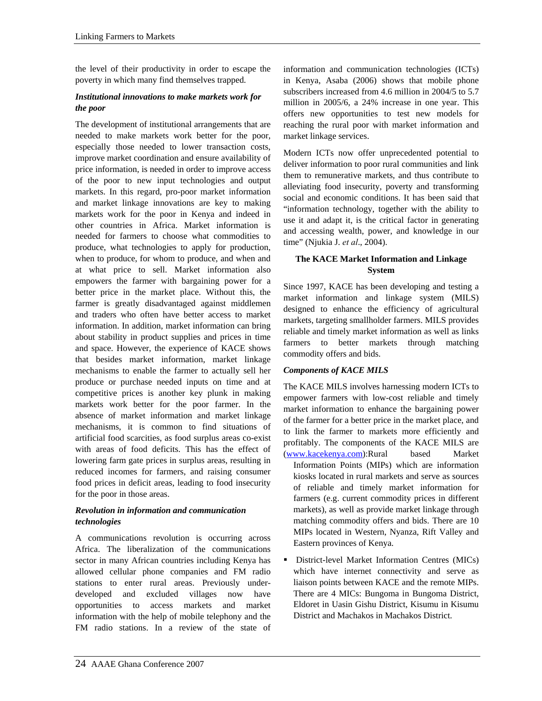the level of their productivity in order to escape the poverty in which many find themselves trapped.

## *Institutional innovations to make markets work for the poor*

The development of institutional arrangements that are needed to make markets work better for the poor, especially those needed to lower transaction costs, improve market coordination and ensure availability of price information, is needed in order to improve access of the poor to new input technologies and output markets. In this regard, pro-poor market information and market linkage innovations are key to making markets work for the poor in Kenya and indeed in other countries in Africa. Market information is needed for farmers to choose what commodities to produce, what technologies to apply for production, when to produce, for whom to produce, and when and at what price to sell. Market information also empowers the farmer with bargaining power for a better price in the market place. Without this, the farmer is greatly disadvantaged against middlemen and traders who often have better access to market information. In addition, market information can bring about stability in product supplies and prices in time and space. However, the experience of KACE shows that besides market information, market linkage mechanisms to enable the farmer to actually sell her produce or purchase needed inputs on time and at competitive prices is another key plunk in making markets work better for the poor farmer. In the absence of market information and market linkage mechanisms, it is common to find situations of artificial food scarcities, as food surplus areas co-exist with areas of food deficits. This has the effect of lowering farm gate prices in surplus areas, resulting in reduced incomes for farmers, and raising consumer food prices in deficit areas, leading to food insecurity for the poor in those areas.

#### *Revolution in information and communication technologies*

A communications revolution is occurring across Africa. The liberalization of the communications sector in many African countries including Kenya has allowed cellular phone companies and FM radio stations to enter rural areas. Previously underdeveloped and excluded villages now have opportunities to access markets and market information with the help of mobile telephony and the FM radio stations. In a review of the state of

information and communication technologies (ICTs) in Kenya, Asaba (2006) shows that mobile phone subscribers increased from 4.6 million in 2004/5 to 5.7 million in 2005/6, a 24% increase in one year. This offers new opportunities to test new models for reaching the rural poor with market information and market linkage services.

Modern ICTs now offer unprecedented potential to deliver information to poor rural communities and link them to remunerative markets, and thus contribute to alleviating food insecurity, poverty and transforming social and economic conditions. It has been said that "information technology, together with the ability to use it and adapt it, is the critical factor in generating and accessing wealth, power, and knowledge in our time" (Njukia J. *et al*., 2004).

## **The KACE Market Information and Linkage System**

Since 1997, KACE has been developing and testing a market information and linkage system (MILS) designed to enhance the efficiency of agricultural markets, targeting smallholder farmers. MILS provides reliable and timely market information as well as links farmers to better markets through matching commodity offers and bids.

### *Components of KACE MILS*

The KACE MILS involves harnessing modern ICTs to empower farmers with low-cost reliable and timely market information to enhance the bargaining power of the farmer for a better price in the market place, and to link the farmer to markets more efficiently and profitably. The components of the KACE MILS are ([www.kacekenya.com\)](http://www.kacekenya.com/):Rural based Market Information Points (MIPs) which are information kiosks located in rural markets and serve as sources of reliable and timely market information for farmers (e.g. current commodity prices in different markets), as well as provide market linkage through matching commodity offers and bids. There are 10 MIPs located in Western, Nyanza, Rift Valley and Eastern provinces of Kenya.

 District-level Market Information Centres (MICs) which have internet connectivity and serve as liaison points between KACE and the remote MIPs. There are 4 MICs: Bungoma in Bungoma District, Eldoret in Uasin Gishu District, Kisumu in Kisumu District and Machakos in Machakos District.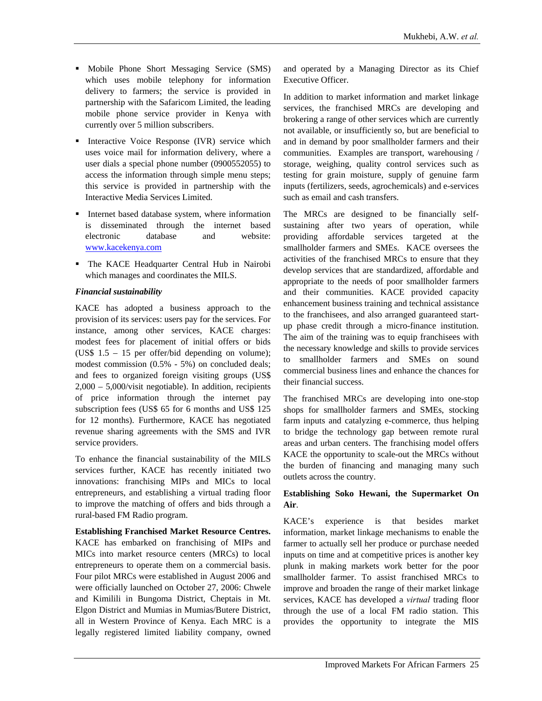- **Mobile Phone Short Messaging Service (SMS)** which uses mobile telephony for information delivery to farmers; the service is provided in partnership with the Safaricom Limited, the leading mobile phone service provider in Kenya with currently over 5 million subscribers.
- **Interactive Voice Response (IVR) service which** uses voice mail for information delivery, where a user dials a special phone number (0900552055) to access the information through simple menu steps; this service is provided in partnership with the Interactive Media Services Limited.
- **I** Internet based database system, where information is disseminated through the internet based electronic database and website: [www.kacekenya.com](http://www.kacekenya.com/)
- The KACE Headquarter Central Hub in Nairobi which manages and coordinates the MILS.

#### *Financial sustainability*

KACE has adopted a business approach to the provision of its services: users pay for the services. For instance, among other services, KACE charges: modest fees for placement of initial offers or bids (US\$ 1.5 – 15 per offer/bid depending on volume); modest commission (0.5% - 5%) on concluded deals; and fees to organized foreign visiting groups (US\$ 2,000 – 5,000/visit negotiable). In addition, recipients of price information through the internet pay subscription fees (US\$ 65 for 6 months and US\$ 125 for 12 months). Furthermore, KACE has negotiated revenue sharing agreements with the SMS and IVR service providers.

To enhance the financial sustainability of the MILS services further, KACE has recently initiated two innovations: franchising MIPs and MICs to local entrepreneurs, and establishing a virtual trading floor to improve the matching of offers and bids through a rural-based FM Radio program.

#### **Establishing Franchised Market Resource Centres.**

KACE has embarked on franchising of MIPs and MICs into market resource centers (MRCs) to local entrepreneurs to operate them on a commercial basis. Four pilot MRCs were established in August 2006 and were officially launched on October 27, 2006: Chwele and Kimilili in Bungoma District, Cheptais in Mt. Elgon District and Mumias in Mumias/Butere District, all in Western Province of Kenya. Each MRC is a legally registered limited liability company, owned

and operated by a Managing Director as its Chief Executive Officer.

In addition to market information and market linkage services, the franchised MRCs are developing and brokering a range of other services which are currently not available, or insufficiently so, but are beneficial to and in demand by poor smallholder farmers and their communities. Examples are transport, warehousing / storage, weighing, quality control services such as testing for grain moisture, supply of genuine farm inputs (fertilizers, seeds, agrochemicals) and e-services such as email and cash transfers.

The MRCs are designed to be financially selfsustaining after two years of operation, while providing affordable services targeted at the smallholder farmers and SMEs. KACE oversees the activities of the franchised MRCs to ensure that they develop services that are standardized, affordable and appropriate to the needs of poor smallholder farmers and their communities. KACE provided capacity enhancement business training and technical assistance to the franchisees, and also arranged guaranteed startup phase credit through a micro-finance institution. The aim of the training was to equip franchisees with the necessary knowledge and skills to provide services to smallholder farmers and SMEs on sound commercial business lines and enhance the chances for their financial success.

The franchised MRCs are developing into one-stop shops for smallholder farmers and SMEs, stocking farm inputs and catalyzing e-commerce, thus helping to bridge the technology gap between remote rural areas and urban centers. The franchising model offers KACE the opportunity to scale-out the MRCs without the burden of financing and managing many such outlets across the country.

#### **Establishing Soko Hewani, the Supermarket On Air**.

KACE's experience is that besides market information, market linkage mechanisms to enable the farmer to actually sell her produce or purchase needed inputs on time and at competitive prices is another key plunk in making markets work better for the poor smallholder farmer. To assist franchised MRCs to improve and broaden the range of their market linkage services, KACE has developed a *virtual* trading floor through the use of a local FM radio station. This provides the opportunity to integrate the MIS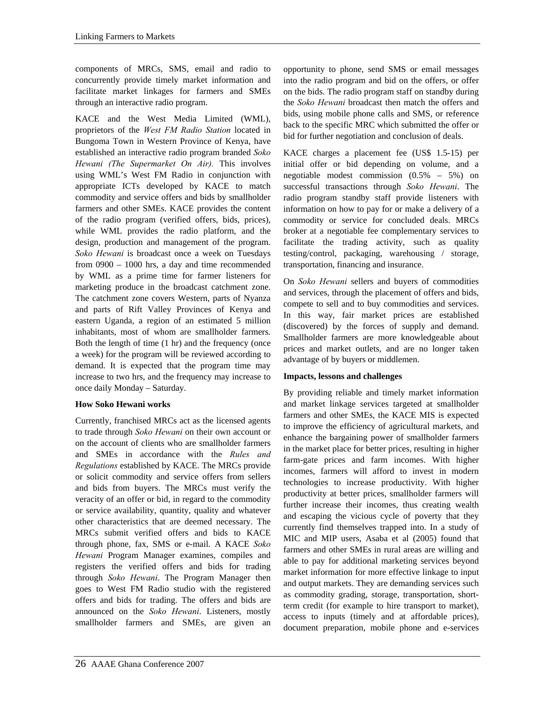components of MRCs, SMS, email and radio to concurrently provide timely market information and facilitate market linkages for farmers and SMEs through an interactive radio program.

KACE and the West Media Limited (WML), proprietors of the *West FM Radio Station* located in Bungoma Town in Western Province of Kenya, have established an interactive radio program branded *Soko Hewani (The Supermarket On Air).* This involves using WML's West FM Radio in conjunction with appropriate ICTs developed by KACE to match commodity and service offers and bids by smallholder farmers and other SMEs. KACE provides the content of the radio program (verified offers, bids, prices), while WML provides the radio platform, and the design, production and management of the program. *Soko Hewani* is broadcast once a week on Tuesdays from 0900 – 1000 hrs, a day and time recommended by WML as a prime time for farmer listeners for marketing produce in the broadcast catchment zone. The catchment zone covers Western, parts of Nyanza and parts of Rift Valley Provinces of Kenya and eastern Uganda, a region of an estimated 5 million inhabitants, most of whom are smallholder farmers. Both the length of time (1 hr) and the frequency (once a week) for the program will be reviewed according to demand. It is expected that the program time may increase to two hrs, and the frequency may increase to once daily Monday – Saturday.

### **How Soko Hewani works**

Currently, franchised MRCs act as the licensed agents to trade through *Soko Hewani* on their own account or on the account of clients who are smallholder farmers and SMEs in accordance with the *Rules and Regulations* established by KACE. The MRCs provide or solicit commodity and service offers from sellers and bids from buyers. The MRCs must verify the veracity of an offer or bid, in regard to the commodity or service availability, quantity, quality and whatever other characteristics that are deemed necessary. The MRCs submit verified offers and bids to KACE through phone, fax, SMS or e-mail. A KACE *Soko Hewani* Program Manager examines, compiles and registers the verified offers and bids for trading through *Soko Hewani*. The Program Manager then goes to West FM Radio studio with the registered offers and bids for trading. The offers and bids are announced on the *Soko Hewani*. Listeners, mostly smallholder farmers and SMEs, are given an

opportunity to phone, send SMS or email messages into the radio program and bid on the offers, or offer on the bids. The radio program staff on standby during the *Soko Hewani* broadcast then match the offers and bids, using mobile phone calls and SMS, or reference back to the specific MRC which submitted the offer or bid for further negotiation and conclusion of deals.

KACE charges a placement fee (US\$ 1.5-15) per initial offer or bid depending on volume, and a negotiable modest commission (0.5% – 5%) on successful transactions through *Soko Hewani*. The radio program standby staff provide listeners with information on how to pay for or make a delivery of a commodity or service for concluded deals. MRCs broker at a negotiable fee complementary services to facilitate the trading activity, such as quality testing/control, packaging, warehousing / storage, transportation, financing and insurance.

On *Soko Hewani* sellers and buyers of commodities and services, through the placement of offers and bids, compete to sell and to buy commodities and services. In this way, fair market prices are established (discovered) by the forces of supply and demand. Smallholder farmers are more knowledgeable about prices and market outlets, and are no longer taken advantage of by buyers or middlemen.

# **Impacts, lessons and challenges**

By providing reliable and timely market information and market linkage services targeted at smallholder farmers and other SMEs, the KACE MIS is expected to improve the efficiency of agricultural markets, and enhance the bargaining power of smallholder farmers in the market place for better prices, resulting in higher farm-gate prices and farm incomes. With higher incomes, farmers will afford to invest in modern technologies to increase productivity. With higher productivity at better prices, smallholder farmers will further increase their incomes, thus creating wealth and escaping the vicious cycle of poverty that they currently find themselves trapped into. In a study of MIC and MIP users, Asaba et al (2005) found that farmers and other SMEs in rural areas are willing and able to pay for additional marketing services beyond market information for more effective linkage to input and output markets. They are demanding services such as commodity grading, storage, transportation, shortterm credit (for example to hire transport to market), access to inputs (timely and at affordable prices), document preparation, mobile phone and e-services